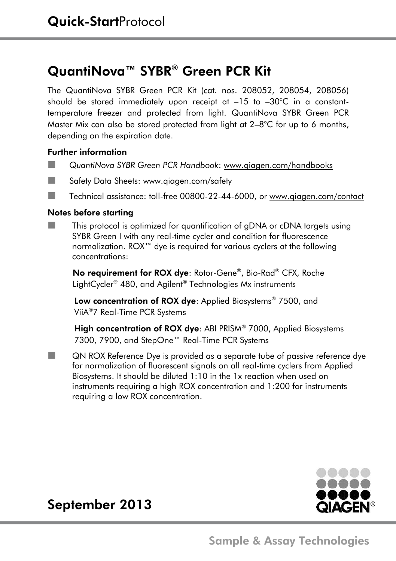# QuantiNova™ SYBR® Green PCR Kit

The QuantiNova SYBR Green PCR Kit (cat. nos. 208052, 208054, 208056) should be stored immediately upon receipt at –15 to –30°C in a constanttemperature freezer and protected from light. QuantiNova SYBR Green PCR Master Mix can also be stored protected from light at  $2-8^{\circ}C$  for up to 6 months, depending on the expiration date.

### Further information

- *QuantiNova SYBR Green PCR Handbook*: www.qiagen.com/handbooks
- Safety Data Sheets[: www.qiagen.com/safety](http://www.qiagen.com/safety)
- ■■ Technical assistance: toll-free 00800-22-44-6000, or www.qiagen.com/contact

### Notes before starting

■■■ This protocol is optimized for quantification of gDNA or cDNA targets using SYBR Green I with any real-time cycler and condition for fluorescence normalization. ROX™ dye is required for various cyclers at the following concentrations:

No requirement for ROX dye: Rotor-Gene® , Bio-Rad® CFX, Roche LightCycler® 480, and Agilent® Technologies Mx instruments

Low concentration of ROX dye: Applied Biosystems<sup>®</sup> 7500, and ViiA®7 Real-Time PCR Systems

High concentration of ROX dye: ABI PRISM® 7000, Applied Biosystems 7300, 7900, and StepOne™ Real-Time PCR Systems

**Now SE INCOX Reference Dye is provided as a separate tube of passive reference dye** for normalization of fluorescent signals on all real-time cyclers from Applied Biosystems. It should be diluted 1:10 in the 1x reaction when used on instruments requiring a high ROX concentration and 1:200 for instruments requiring a low ROX concentration.



# September 2013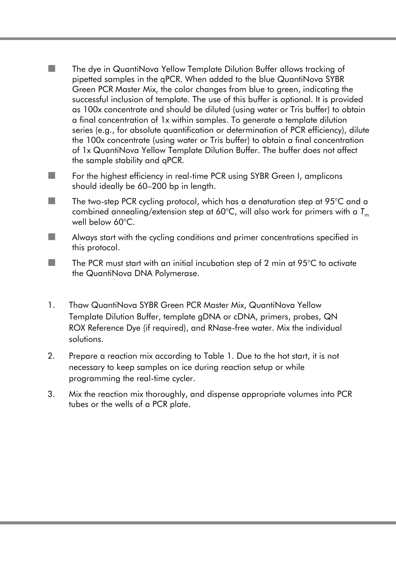- ■■■ The dye in QuantiNova Yellow Template Dilution Buffer allows tracking of pipetted samples in the qPCR. When added to the blue QuantiNova SYBR Green PCR Master Mix, the color changes from blue to green, indicating the successful inclusion of template. The use of this buffer is optional. It is provided as 100x concentrate and should be diluted (using water or Tris buffer) to obtain a final concentration of 1x within samples. To generate a template dilution series (e.g., for absolute quantification or determination of PCR efficiency), dilute the 100x concentrate (using water or Tris buffer) to obtain a final concentration of 1x QuantiNova Yellow Template Dilution Buffer. The buffer does not affect the sample stability and qPCR.
- ■■■ For the highest efficiency in real-time PCR using SYBR Green I, amplicons should ideally be 60–200 bp in length.
- The two-step PCR cycling protocol, which has a denaturation step at  $95^{\circ}$ C and a combined annealing/extension step at 60°C, will also work for primers with a *T*<sup>m</sup> well below 60°C.
- Always start with the cycling conditions and primer concentrations specified in this protocol.
- $\blacksquare$  The PCR must start with an initial incubation step of 2 min at 95 $^\circ$ C to activate the QuantiNova DNA Polymerase.
- 1. Thaw QuantiNova SYBR Green PCR Master Mix, QuantiNova Yellow Template Dilution Buffer, template gDNA or cDNA, primers, probes, QN ROX Reference Dye (if required), and RNase-free water. Mix the individual solutions.
- 2. Prepare a reaction mix according to Table 1. Due to the hot start, it is not necessary to keep samples on ice during reaction setup or while programming the real-time cycler.
- 3. Mix the reaction mix thoroughly, and dispense appropriate volumes into PCR tubes or the wells of a PCR plate.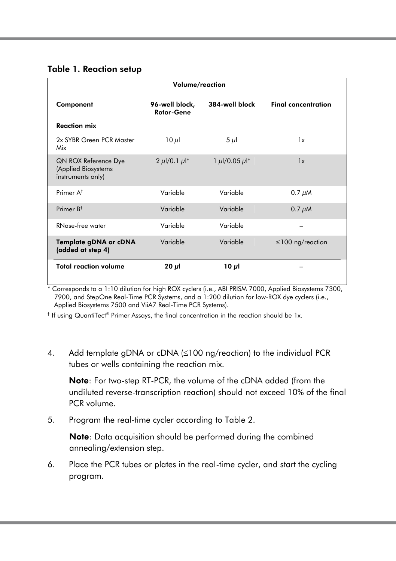#### Table 1. Reaction setup

|                                                                  | Volume/reaction                    |                         |                            |
|------------------------------------------------------------------|------------------------------------|-------------------------|----------------------------|
| Component                                                        | 96-well block,<br>Rotor-Gene       | 384-well block          | <b>Final concentration</b> |
| <b>Reaction mix</b>                                              |                                    |                         |                            |
| 2x SYBR Green PCR Master<br>Mix                                  | $10 \mu$                           | $5 \mu$                 | 1x                         |
| QN ROX Reference Dye<br>(Applied Biosystems<br>instruments only) | 2 $\mu$ I/0.1 $\mu$ I <sup>*</sup> | 1 $\mu$ l/0.05 $\mu$ l* | 1x                         |
| Primer A <sup>t</sup>                                            | Variable                           | Variable                | $0.7 \mu M$                |
| Primer $R^{\dagger}$                                             | Variable                           | Variable                | $0.7 \mu M$                |
| RNase-free water                                                 | Variable                           | Variable                |                            |
| Template gDNA or cDNA<br>(added at step 4)                       | Variable                           | Variable                | $\leq$ 100 ng/reaction     |
| <b>Total reaction volume</b>                                     | $20 \mu$                           | 10 $\mu$ l              |                            |

l<br>\* Corresponds to a 1:10 dilution for high ROX cyclers (i.e., ABI PRISM 7000, Applied Biosystems 7300, 7900, and StepOne Real-Time PCR Systems, and a 1:200 dilution for low-ROX dye cyclers (i.e., Applied Biosystems 7500 and ViiA7 Real-Time PCR Systems).

 $^\dagger$  If using QuantiTect® Primer Assays, the final concentration in the reaction should be 1x.

4. Add template gDNA or cDNA  $(\leq 100 \text{ ng/reaction})$  to the individual PCR tubes or wells containing the reaction mix.

Note: For two-step RT-PCR, the volume of the cDNA added (from the undiluted reverse-transcription reaction) should not exceed 10% of the final PCR volume.

5. Program the real-time cycler according to Table 2.

Note: Data acquisition should be performed during the combined annealing/extension step.

6. Place the PCR tubes or plates in the real-time cycler, and start the cycling program.